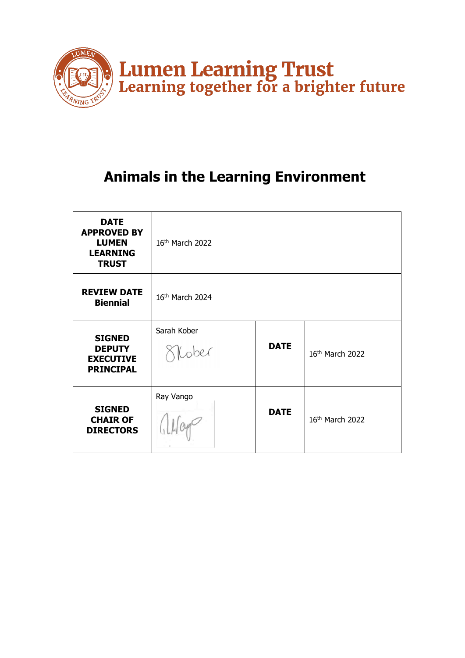

# **Animals in the Learning Environment**

| <b>DATE</b><br><b>APPROVED BY</b><br><b>LUMEN</b><br><b>LEARNING</b><br><b>TRUST</b> | 16th March 2022      |             |                 |
|--------------------------------------------------------------------------------------|----------------------|-------------|-----------------|
| <b>REVIEW DATE</b><br><b>Biennial</b>                                                | 16th March 2024      |             |                 |
| <b>SIGNED</b><br><b>DEPUTY</b><br><b>EXECUTIVE</b><br><b>PRINCIPAL</b>               | Sarah Kober<br>Cober | <b>DATE</b> | 16th March 2022 |
| <b>SIGNED</b><br><b>CHAIR OF</b><br><b>DIRECTORS</b>                                 | Ray Vango            | <b>DATE</b> | 16th March 2022 |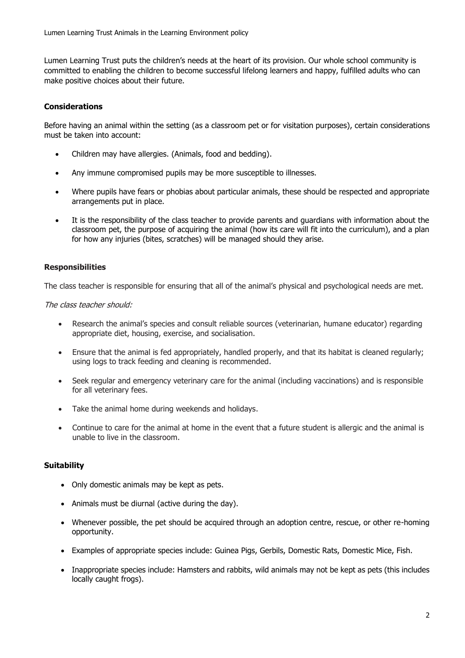Lumen Learning Trust puts the children's needs at the heart of its provision. Our whole school community is committed to enabling the children to become successful lifelong learners and happy, fulfilled adults who can make positive choices about their future.

### **Considerations**

Before having an animal within the setting (as a classroom pet or for visitation purposes), certain considerations must be taken into account:

- Children may have allergies. (Animals, food and bedding).
- Any immune compromised pupils may be more susceptible to illnesses.
- Where pupils have fears or phobias about particular animals, these should be respected and appropriate arrangements put in place.
- It is the responsibility of the class teacher to provide parents and quardians with information about the classroom pet, the purpose of acquiring the animal (how its care will fit into the curriculum), and a plan for how any injuries (bites, scratches) will be managed should they arise.

#### **Responsibilities**

The class teacher is responsible for ensuring that all of the animal's physical and psychological needs are met.

The class teacher should:

- Research the animal's species and consult reliable sources (veterinarian, humane educator) regarding appropriate diet, housing, exercise, and socialisation.
- Ensure that the animal is fed appropriately, handled properly, and that its habitat is cleaned regularly; using logs to track feeding and cleaning is recommended.
- Seek regular and emergency veterinary care for the animal (including vaccinations) and is responsible for all veterinary fees.
- Take the animal home during weekends and holidays.
- Continue to care for the animal at home in the event that a future student is allergic and the animal is unable to live in the classroom.

#### **Suitability**

- Only domestic animals may be kept as pets.
- Animals must be diurnal (active during the day).
- Whenever possible, the pet should be acquired through an adoption centre, rescue, or other re-homing opportunity.
- Examples of appropriate species include: Guinea Pigs, Gerbils, Domestic Rats, Domestic Mice, Fish.
- Inappropriate species include: Hamsters and rabbits, wild animals may not be kept as pets (this includes locally caught frogs).